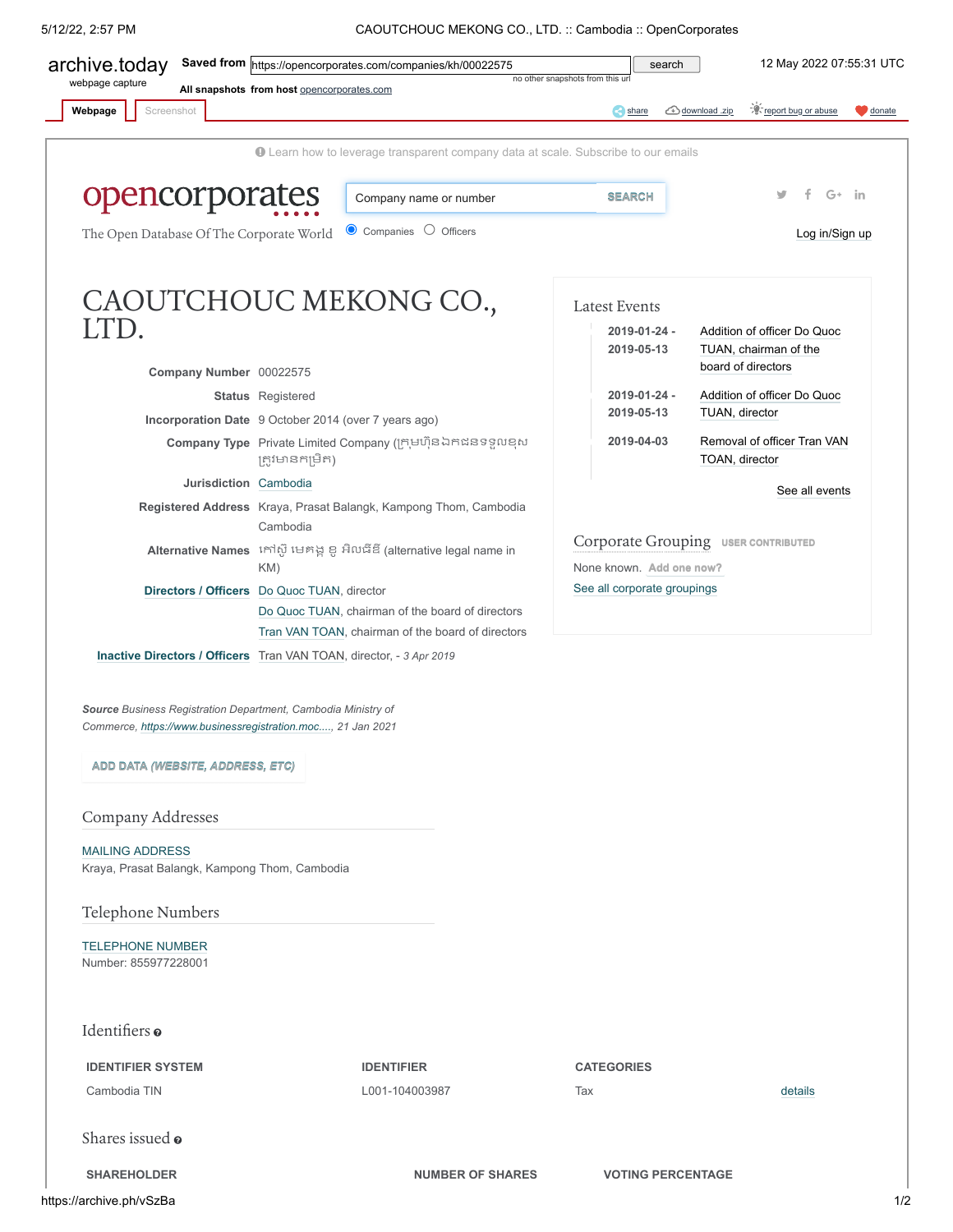5/12/22, 2:57 PM CAOUTCHOUC MEKONG CO., LTD. :: Cambodia :: OpenCorporates

<span id="page-0-0"></span>